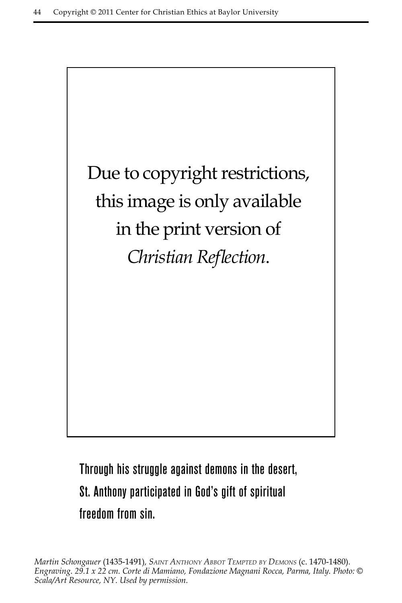

Through his struggle against demons in the desert, St. Anthony participated in God's gift of spiritual freedom from sin.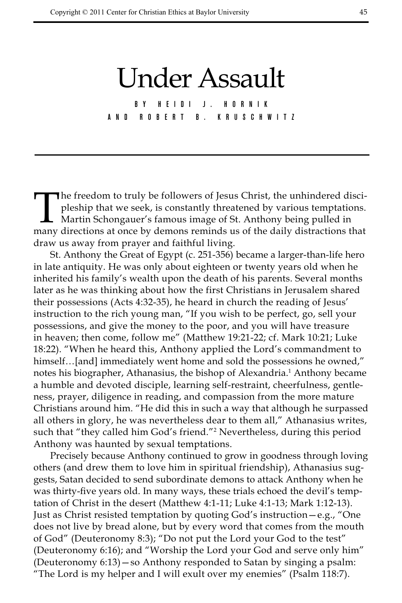## Under Assault

B Y H E I D I J . H O R N I K a nd R o b e r t B. K r u s c h w i t z

The freedom to truly be followers of Jesus Christ, the unhindered discipleship that we seek, is constantly threatened by various temptations.<br>Martin Schongauer's famous image of St. Anthony being pulled in<br>many directions pleship that we seek, is constantly threatened by various temptations. Martin Schongauer's famous image of St. Anthony being pulled in many directions at once by demons reminds us of the daily distractions that draw us away from prayer and faithful living.

St. Anthony the Great of Egypt (c. 251-356) became a larger-than-life hero in late antiquity. He was only about eighteen or twenty years old when he inherited his family's wealth upon the death of his parents. Several months later as he was thinking about how the first Christians in Jerusalem shared their possessions (Acts 4:32-35), he heard in church the reading of Jesus' instruction to the rich young man, "If you wish to be perfect, go, sell your possessions, and give the money to the poor, and you will have treasure in heaven; then come, follow me" (Matthew 19:21-22; cf. Mark 10:21; Luke 18:22). "When he heard this, Anthony applied the Lord's commandment to himself...[and] immediately went home and sold the possessions he owned," notes his biographer, Athanasius, the bishop of Alexandria.<sup>1</sup> Anthony became a humble and devoted disciple, learning self-restraint, cheerfulness, gentleness, prayer, diligence in reading, and compassion from the more mature Christians around him. "He did this in such a way that although he surpassed all others in glory, he was nevertheless dear to them all," Athanasius writes, such that "they called him God's friend."2 Nevertheless, during this period Anthony was haunted by sexual temptations.

Precisely because Anthony continued to grow in goodness through loving others (and drew them to love him in spiritual friendship), Athanasius suggests, Satan decided to send subordinate demons to attack Anthony when he was thirty-five years old. In many ways, these trials echoed the devil's temptation of Christ in the desert (Matthew 4:1-11; Luke 4:1-13; Mark 1:12-13). Just as Christ resisted temptation by quoting God's instruction—e.g., "One does not live by bread alone, but by every word that comes from the mouth of God" (Deuteronomy 8:3); "Do not put the Lord your God to the test" (Deuteronomy 6:16); and "Worship the Lord your God and serve only him" (Deuteronomy 6:13)—so Anthony responded to Satan by singing a psalm: "The Lord is my helper and I will exult over my enemies" (Psalm 118:7).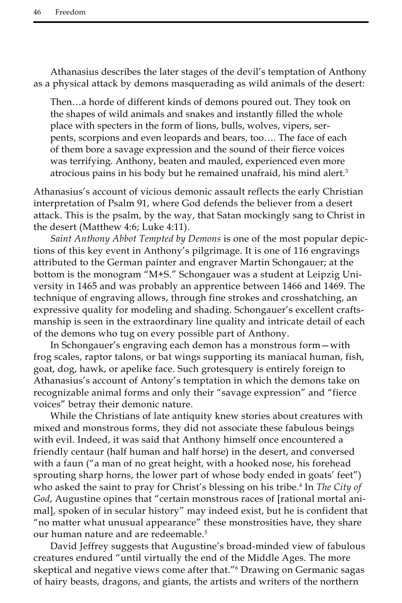Athanasius describes the later stages of the devil's temptation of Anthony as a physical attack by demons masquerading as wild animals of the desert:

Then…a horde of different kinds of demons poured out. They took on the shapes of wild animals and snakes and instantly filled the whole place with specters in the form of lions, bulls, wolves, vipers, serpents, scorpions and even leopards and bears, too…. The face of each of them bore a savage expression and the sound of their fierce voices was terrifying. Anthony, beaten and mauled, experienced even more atrocious pains in his body but he remained unafraid, his mind alert.3

Athanasius's account of vicious demonic assault reflects the early Christian interpretation of Psalm 91, where God defends the believer from a desert attack. This is the psalm, by the way, that Satan mockingly sang to Christ in the desert (Matthew 4:6; Luke 4:11).

*Saint Anthony Abbot Tempted by Demons* is one of the most popular depictions of this key event in Anthony's pilgrimage. It is one of 116 engravings attributed to the German painter and engraver Martin Schongauer; at the bottom is the monogram "M+S." Schongauer was a student at Leipzig University in 1465 and was probably an apprentice between 1466 and 1469. The technique of engraving allows, through fine strokes and crosshatching, an expressive quality for modeling and shading. Schongauer's excellent craftsmanship is seen in the extraordinary line quality and intricate detail of each of the demons who tug on every possible part of Anthony.

In Schongauer's engraving each demon has a monstrous form—with frog scales, raptor talons, or bat wings supporting its maniacal human, fish, goat, dog, hawk, or apelike face. Such grotesquery is entirely foreign to Athanasius's account of Antony's temptation in which the demons take on recognizable animal forms and only their "savage expression" and "fierce voices" betray their demonic nature.

While the Christians of late antiquity knew stories about creatures with mixed and monstrous forms, they did not associate these fabulous beings with evil. Indeed, it was said that Anthony himself once encountered a friendly centaur (half human and half horse) in the desert, and conversed with a faun ("a man of no great height, with a hooked nose, his forehead sprouting sharp horns, the lower part of whose body ended in goats' feet") who asked the saint to pray for Christ's blessing on his tribe.<sup>4</sup> In *The City of God*, Augustine opines that "certain monstrous races of [rational mortal animal], spoken of in secular history" may indeed exist, but he is confident that "no matter what unusual appearance" these monstrosities have, they share our human nature and are redeemable.<sup>5</sup>

David Jeffrey suggests that Augustine's broad-minded view of fabulous creatures endured "until virtually the end of the Middle Ages. The more skeptical and negative views come after that."6 Drawing on Germanic sagas of hairy beasts, dragons, and giants, the artists and writers of the northern